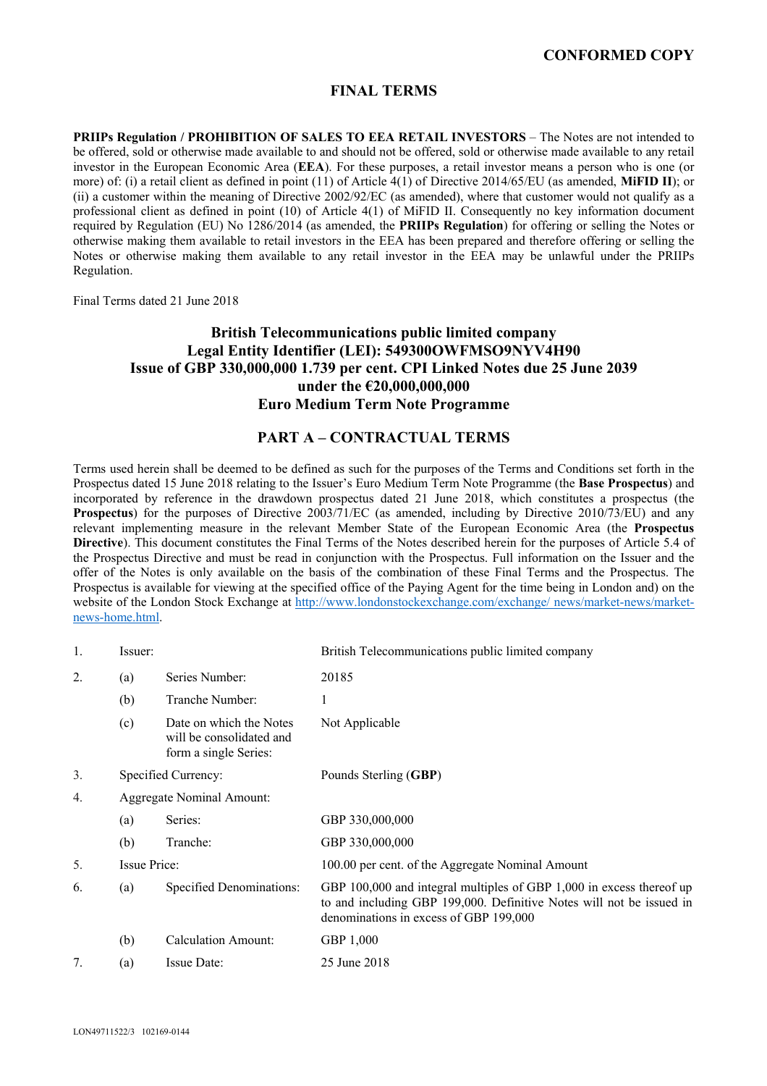# **CONFORMED COPY**

## **FINAL TERMS**

**PRIIPs Regulation / PROHIBITION OF SALES TO EEA RETAIL INVESTORS** – The Notes are not intended to be offered, sold or otherwise made available to and should not be offered, sold or otherwise made available to any retail investor in the European Economic Area (**EEA**). For these purposes, a retail investor means a person who is one (or more) of: (i) a retail client as defined in point (11) of Article 4(1) of Directive 2014/65/EU (as amended, **MiFID II**); or (ii) a customer within the meaning of Directive 2002/92/EC (as amended), where that customer would not qualify as a professional client as defined in point (10) of Article 4(1) of MiFID II. Consequently no key information document required by Regulation (EU) No 1286/2014 (as amended, the **PRIIPs Regulation**) for offering or selling the Notes or otherwise making them available to retail investors in the EEA has been prepared and therefore offering or selling the Notes or otherwise making them available to any retail investor in the EEA may be unlawful under the PRIIPs Regulation.

Final Terms dated 21 June 2018

# **British Telecommunications public limited company Legal Entity Identifier (LEI): 549300OWFMSO9NYV4H90 Issue of GBP 330,000,000 1.739 per cent. CPI Linked Notes due 25 June 2039 under the €20,000,000,000 Euro Medium Term Note Programme**

## **PART A – CONTRACTUAL TERMS**

Terms used herein shall be deemed to be defined as such for the purposes of the Terms and Conditions set forth in the Prospectus dated 15 June 2018 relating to the Issuer's Euro Medium Term Note Programme (the **Base Prospectus**) and incorporated by reference in the drawdown prospectus dated 21 June 2018, which constitutes a prospectus (the **Prospectus**) for the purposes of Directive 2003/71/EC (as amended, including by Directive 2010/73/EU) and any relevant implementing measure in the relevant Member State of the European Economic Area (the **Prospectus Directive**). This document constitutes the Final Terms of the Notes described herein for the purposes of Article 5.4 of the Prospectus Directive and must be read in conjunction with the Prospectus. Full information on the Issuer and the offer of the Notes is only available on the basis of the combination of these Final Terms and the Prospectus. The Prospectus is available for viewing at the specified office of the Paying Agent for the time being in London and) on the website of the London Stock Exchange at http://www.londonstockexchange.com/exchange/ news/market-news/marketnews-home.html.

| 1. | Issuer:             |                                                                              | British Telecommunications public limited company                                                                                                                                      |  |
|----|---------------------|------------------------------------------------------------------------------|----------------------------------------------------------------------------------------------------------------------------------------------------------------------------------------|--|
| 2. | (a)                 | Series Number:                                                               | 20185                                                                                                                                                                                  |  |
|    | (b)                 | Tranche Number:                                                              | 1                                                                                                                                                                                      |  |
|    | (c)                 | Date on which the Notes<br>will be consolidated and<br>form a single Series: | Not Applicable                                                                                                                                                                         |  |
| 3. |                     | Specified Currency:                                                          | Pounds Sterling (GBP)                                                                                                                                                                  |  |
| 4. |                     | Aggregate Nominal Amount:                                                    |                                                                                                                                                                                        |  |
|    | (a)                 | Series:                                                                      | GBP 330,000,000                                                                                                                                                                        |  |
|    | (b)                 | Tranche:                                                                     | GBP 330,000,000                                                                                                                                                                        |  |
| 5. | <b>Issue Price:</b> |                                                                              | 100.00 per cent. of the Aggregate Nominal Amount                                                                                                                                       |  |
| 6. | (a)                 | Specified Denominations:                                                     | GBP 100,000 and integral multiples of GBP 1,000 in excess thereof up<br>to and including GBP 199,000. Definitive Notes will not be issued in<br>denominations in excess of GBP 199,000 |  |
|    | (b)                 | <b>Calculation Amount:</b>                                                   | GBP 1,000                                                                                                                                                                              |  |
| 7. | (a)                 | Issue Date:                                                                  | 25 June 2018                                                                                                                                                                           |  |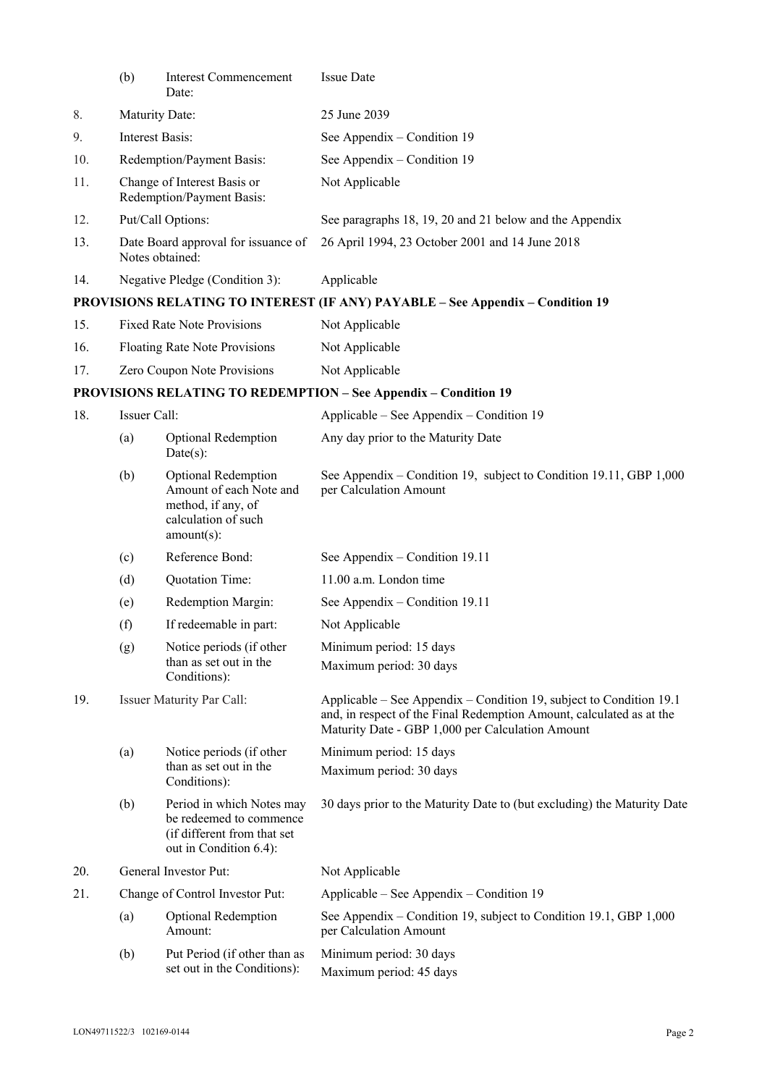|     | (b)                                                      | <b>Interest Commencement</b><br>Date:                                                                               | <b>Issue Date</b>                                                                                                                                                                               |  |
|-----|----------------------------------------------------------|---------------------------------------------------------------------------------------------------------------------|-------------------------------------------------------------------------------------------------------------------------------------------------------------------------------------------------|--|
| 8.  | Maturity Date:                                           |                                                                                                                     | 25 June 2039                                                                                                                                                                                    |  |
| 9.  | Interest Basis:                                          |                                                                                                                     | See Appendix – Condition 19                                                                                                                                                                     |  |
| 10. | Redemption/Payment Basis:                                |                                                                                                                     | See Appendix – Condition 19                                                                                                                                                                     |  |
| 11. | Change of Interest Basis or<br>Redemption/Payment Basis: |                                                                                                                     | Not Applicable                                                                                                                                                                                  |  |
| 12. |                                                          | Put/Call Options:                                                                                                   | See paragraphs 18, 19, 20 and 21 below and the Appendix                                                                                                                                         |  |
| 13. | Date Board approval for issuance of<br>Notes obtained:   |                                                                                                                     | 26 April 1994, 23 October 2001 and 14 June 2018                                                                                                                                                 |  |
| 14. |                                                          | Negative Pledge (Condition 3):                                                                                      | Applicable                                                                                                                                                                                      |  |
|     |                                                          |                                                                                                                     | PROVISIONS RELATING TO INTEREST (IF ANY) PAYABLE - See Appendix - Condition 19                                                                                                                  |  |
| 15. |                                                          | <b>Fixed Rate Note Provisions</b>                                                                                   | Not Applicable                                                                                                                                                                                  |  |
| 16. | <b>Floating Rate Note Provisions</b>                     |                                                                                                                     | Not Applicable                                                                                                                                                                                  |  |
| 17. | Zero Coupon Note Provisions                              |                                                                                                                     | Not Applicable                                                                                                                                                                                  |  |
|     |                                                          |                                                                                                                     | <b>PROVISIONS RELATING TO REDEMPTION - See Appendix - Condition 19</b>                                                                                                                          |  |
| 18. | Issuer Call:                                             |                                                                                                                     | Applicable – See Appendix – Condition 19                                                                                                                                                        |  |
|     | (a)                                                      | <b>Optional Redemption</b><br>$Date(s)$ :                                                                           | Any day prior to the Maturity Date                                                                                                                                                              |  |
|     | (b)                                                      | <b>Optional Redemption</b><br>Amount of each Note and<br>method, if any, of<br>calculation of such<br>$amount(s)$ : | See Appendix – Condition 19, subject to Condition 19.11, GBP 1,000<br>per Calculation Amount                                                                                                    |  |
|     | (c)                                                      | Reference Bond:                                                                                                     | See Appendix – Condition 19.11                                                                                                                                                                  |  |
|     | (d)                                                      | Quotation Time:                                                                                                     | 11.00 a.m. London time                                                                                                                                                                          |  |
|     | (e)                                                      | Redemption Margin:                                                                                                  | See Appendix – Condition 19.11                                                                                                                                                                  |  |
|     | (f)                                                      | If redeemable in part:                                                                                              | Not Applicable                                                                                                                                                                                  |  |
|     | (g)                                                      | Notice periods (if other<br>than as set out in the<br>Conditions):                                                  | Minimum period: 15 days<br>Maximum period: 30 days                                                                                                                                              |  |
| 19. |                                                          | <b>Issuer Maturity Par Call:</b>                                                                                    | Applicable – See Appendix – Condition 19, subject to Condition 19.1<br>and, in respect of the Final Redemption Amount, calculated as at the<br>Maturity Date - GBP 1,000 per Calculation Amount |  |
|     | (a)                                                      | Notice periods (if other                                                                                            | Minimum period: 15 days                                                                                                                                                                         |  |
|     |                                                          | than as set out in the<br>Conditions):                                                                              | Maximum period: 30 days                                                                                                                                                                         |  |
|     | (b)                                                      | Period in which Notes may<br>be redeemed to commence<br>(if different from that set<br>out in Condition 6.4):       | 30 days prior to the Maturity Date to (but excluding) the Maturity Date                                                                                                                         |  |
| 20. |                                                          | General Investor Put:                                                                                               | Not Applicable                                                                                                                                                                                  |  |
| 21. |                                                          | Change of Control Investor Put:                                                                                     | Applicable – See Appendix – Condition 19                                                                                                                                                        |  |
|     | (a)                                                      | <b>Optional Redemption</b><br>Amount:                                                                               | See Appendix – Condition 19, subject to Condition 19.1, GBP 1,000<br>per Calculation Amount                                                                                                     |  |
|     | (b)                                                      | Put Period (if other than as<br>set out in the Conditions):                                                         | Minimum period: 30 days<br>Maximum period: 45 days                                                                                                                                              |  |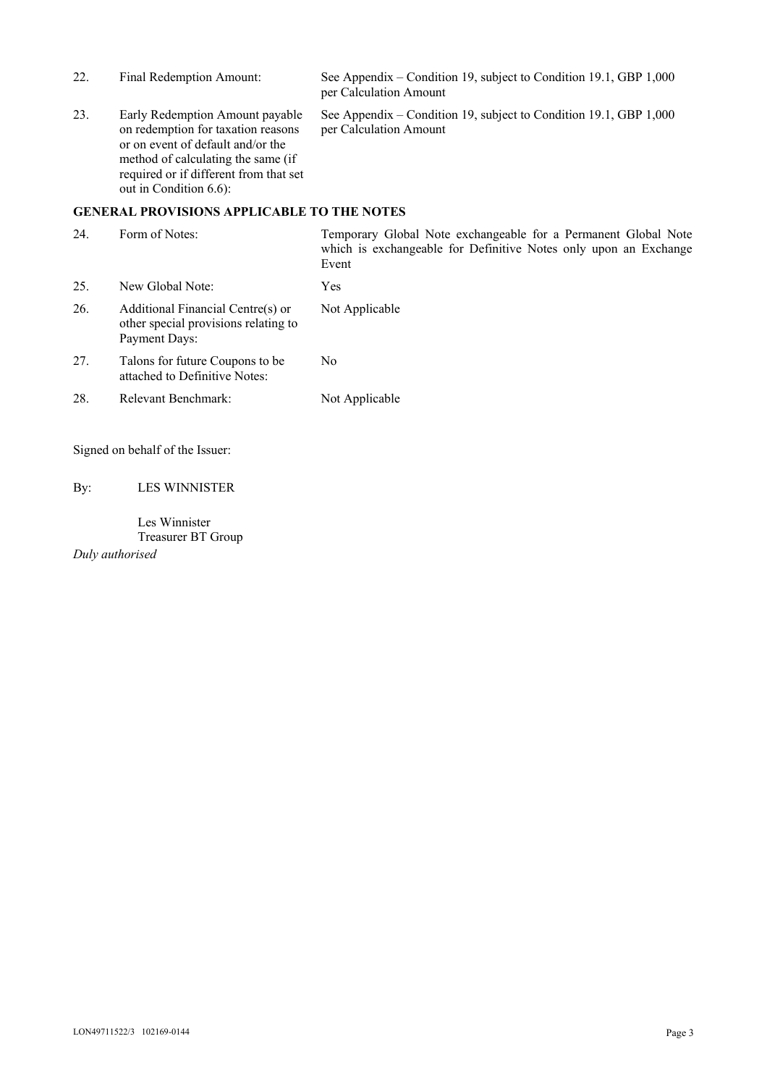| 22.                                               | Final Redemption Amount:                                                                                                                                                                                             | See Appendix – Condition 19, subject to Condition 19.1, GBP 1,000<br>per Calculation Amount |  |
|---------------------------------------------------|----------------------------------------------------------------------------------------------------------------------------------------------------------------------------------------------------------------------|---------------------------------------------------------------------------------------------|--|
| 23.                                               | Early Redemption Amount payable<br>on redemption for taxation reasons<br>or on event of default and/or the<br>method of calculating the same (if<br>required or if different from that set<br>out in Condition 6.6): | See Appendix – Condition 19, subject to Condition 19.1, GBP 1,000<br>per Calculation Amount |  |
| <b>GENERAL PROVISIONS APPLICABLE TO THE NOTES</b> |                                                                                                                                                                                                                      |                                                                                             |  |

| 24. | Form of Notes:                                                                             | Temporary Global Note exchangeable for a Permanent Global Note<br>which is exchangeable for Definitive Notes only upon an Exchange<br>Event |
|-----|--------------------------------------------------------------------------------------------|---------------------------------------------------------------------------------------------------------------------------------------------|
| 25. | New Global Note:                                                                           | Yes                                                                                                                                         |
| 26. | Additional Financial Centre(s) or<br>other special provisions relating to<br>Payment Days: | Not Applicable                                                                                                                              |
| 27. | Talons for future Coupons to be.<br>attached to Definitive Notes:                          | N <sub>0</sub>                                                                                                                              |
| 28. | Relevant Benchmark:                                                                        | Not Applicable                                                                                                                              |

Signed on behalf of the Issuer:

By: LES WINNISTER

Les Winnister Treasurer BT Group *Duly authorised*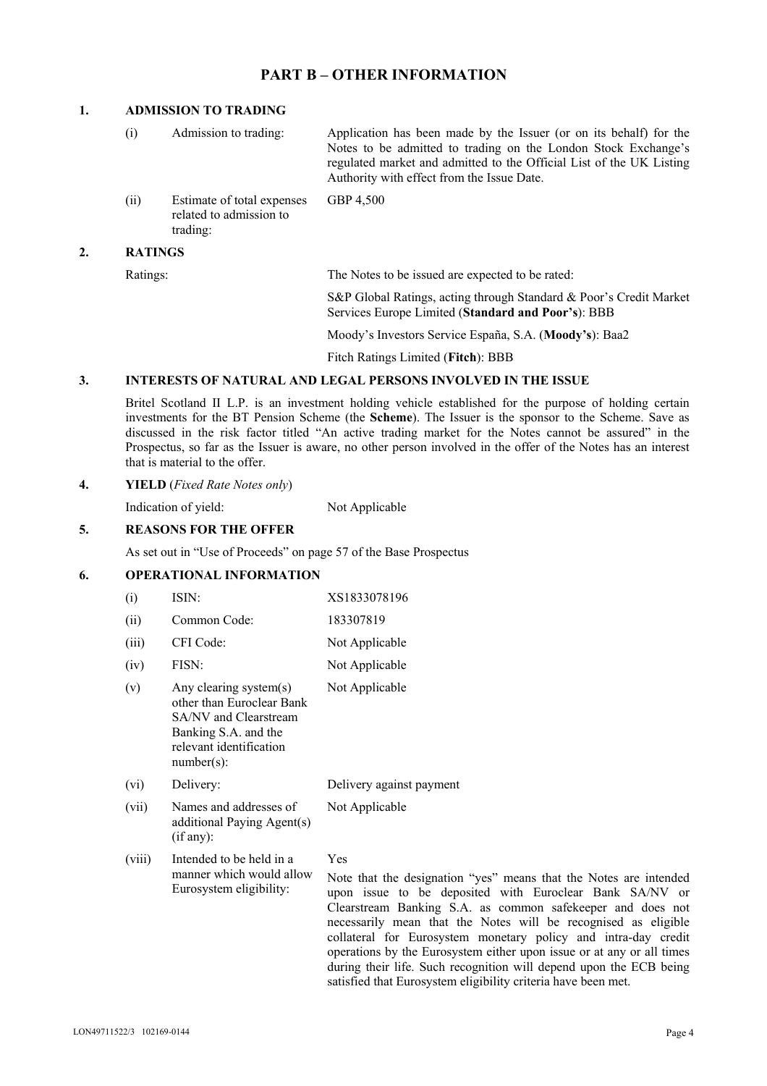## **PART B – OTHER INFORMATION**

## **1. ADMISSION TO TRADING**

| $\left(1\right)$ | Admission to trading:                                             | Application has been made by the Issuer (or on its behalf) for the<br>Notes to be admitted to trading on the London Stock Exchange's<br>regulated market and admitted to the Official List of the UK Listing<br>Authority with effect from the Issue Date. |
|------------------|-------------------------------------------------------------------|------------------------------------------------------------------------------------------------------------------------------------------------------------------------------------------------------------------------------------------------------------|
| (ii)             | Estimate of total expenses<br>related to admission to<br>trading: | GBP 4,500                                                                                                                                                                                                                                                  |
| <b>RATINGS</b>   |                                                                   |                                                                                                                                                                                                                                                            |

Ratings: The Notes to be issued are expected to be rated:

S&P Global Ratings, acting through Standard & Poor's Credit Market Services Europe Limited (**Standard and Poor's**): BBB

Moody's Investors Service España, S.A. (**Moody's**): Baa2

Fitch Ratings Limited (**Fitch**): BBB

#### **3. INTERESTS OF NATURAL AND LEGAL PERSONS INVOLVED IN THE ISSUE**

 Britel Scotland II L.P. is an investment holding vehicle established for the purpose of holding certain investments for the BT Pension Scheme (the **Scheme**). The Issuer is the sponsor to the Scheme. Save as discussed in the risk factor titled "An active trading market for the Notes cannot be assured" in the Prospectus, so far as the Issuer is aware, no other person involved in the offer of the Notes has an interest that is material to the offer.

#### **4. YIELD** (*Fixed Rate Notes only*)

Indication of yield: Not Applicable

## **5. REASONS FOR THE OFFER**

As set out in "Use of Proceeds" on page 57 of the Base Prospectus

## **6. OPERATIONAL INFORMATION**

| (i)    | ISIN:                                                                                                                                            | XS1833078196             |
|--------|--------------------------------------------------------------------------------------------------------------------------------------------------|--------------------------|
| (ii)   | Common Code:                                                                                                                                     | 183307819                |
| (iii)  | CFI Code:                                                                                                                                        | Not Applicable           |
| (iv)   | FISN:                                                                                                                                            | Not Applicable           |
| (v)    | Any clearing system(s)<br>other than Euroclear Bank<br>SA/NV and Clearstream<br>Banking S.A. and the<br>relevant identification<br>$number(s)$ : | Not Applicable           |
| (vi)   | Delivery:                                                                                                                                        | Delivery against payment |
| (vii)  | Names and addresses of<br>additional Paying Agent(s)<br>(if any):                                                                                | Not Applicable           |
| (viii) | Intended to be held in a                                                                                                                         | Yes                      |

manner which would allow Eurosystem eligibility: Note that the designation "yes" means that the Notes are intended upon issue to be deposited with Euroclear Bank SA/NV or Clearstream Banking S.A. as common safekeeper and does not necessarily mean that the Notes will be recognised as eligible collateral for Eurosystem monetary policy and intra-day credit operations by the Eurosystem either upon issue or at any or all times during their life. Such recognition will depend upon the ECB being satisfied that Eurosystem eligibility criteria have been met.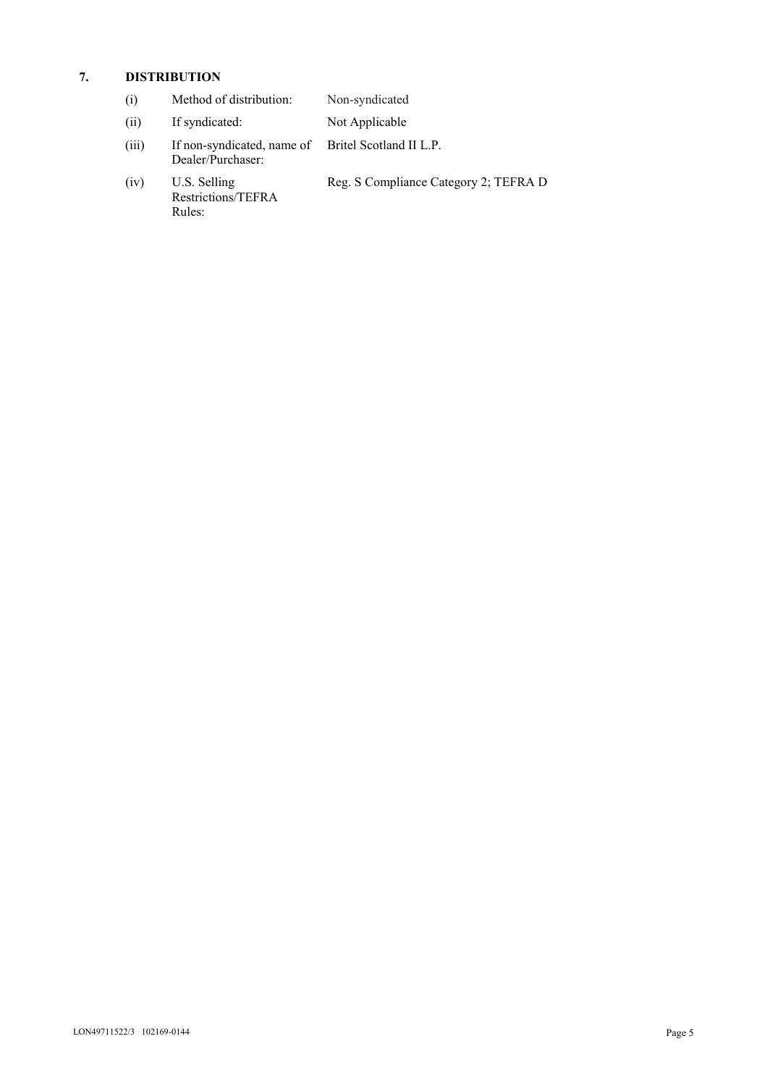## **7. DISTRIBUTION**

| $\left( 1 \right)$ | Method of distribution: | Non-syndicated |
|--------------------|-------------------------|----------------|
|--------------------|-------------------------|----------------|

- (ii) If syndicated: Not Applicable
- (iii) If non-syndicated, name of Dealer/Purchaser: Britel Scotland II L.P.
- (iv) U.S. Selling Restrictions/TEFRA Rules:
- Reg. S Compliance Category 2; TEFRA D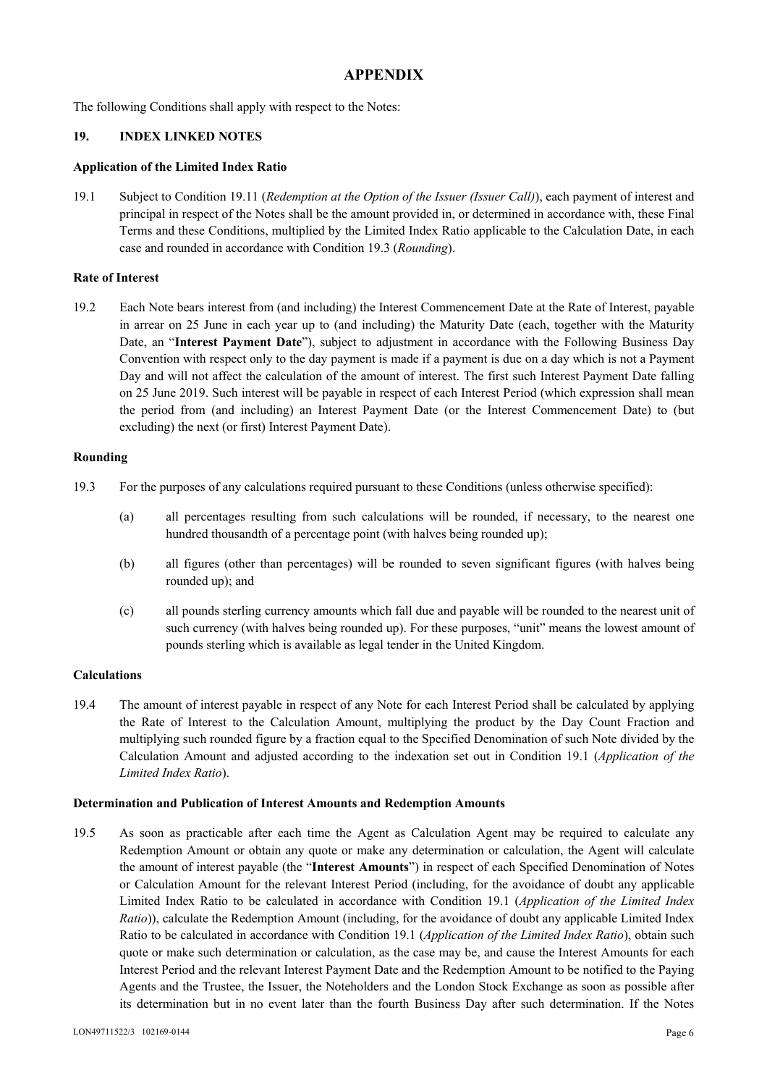# **APPENDIX**

The following Conditions shall apply with respect to the Notes:

## **19. INDEX LINKED NOTES**

### **Application of the Limited Index Ratio**

19.1 Subject to Condition 19.11 (*Redemption at the Option of the Issuer (Issuer Call)*), each payment of interest and principal in respect of the Notes shall be the amount provided in, or determined in accordance with, these Final Terms and these Conditions, multiplied by the Limited Index Ratio applicable to the Calculation Date, in each case and rounded in accordance with Condition 19.3 (*Rounding*).

## **Rate of Interest**

19.2 Each Note bears interest from (and including) the Interest Commencement Date at the Rate of Interest, payable in arrear on 25 June in each year up to (and including) the Maturity Date (each, together with the Maturity Date, an "**Interest Payment Date**"), subject to adjustment in accordance with the Following Business Day Convention with respect only to the day payment is made if a payment is due on a day which is not a Payment Day and will not affect the calculation of the amount of interest. The first such Interest Payment Date falling on 25 June 2019. Such interest will be payable in respect of each Interest Period (which expression shall mean the period from (and including) an Interest Payment Date (or the Interest Commencement Date) to (but excluding) the next (or first) Interest Payment Date).

## **Rounding**

- 19.3 For the purposes of any calculations required pursuant to these Conditions (unless otherwise specified):
	- (a) all percentages resulting from such calculations will be rounded, if necessary, to the nearest one hundred thousandth of a percentage point (with halves being rounded up);
	- (b) all figures (other than percentages) will be rounded to seven significant figures (with halves being rounded up); and
	- (c) all pounds sterling currency amounts which fall due and payable will be rounded to the nearest unit of such currency (with halves being rounded up). For these purposes, "unit" means the lowest amount of pounds sterling which is available as legal tender in the United Kingdom.

### **Calculations**

19.4 The amount of interest payable in respect of any Note for each Interest Period shall be calculated by applying the Rate of Interest to the Calculation Amount, multiplying the product by the Day Count Fraction and multiplying such rounded figure by a fraction equal to the Specified Denomination of such Note divided by the Calculation Amount and adjusted according to the indexation set out in Condition 19.1 (*Application of the Limited Index Ratio*).

### **Determination and Publication of Interest Amounts and Redemption Amounts**

19.5 As soon as practicable after each time the Agent as Calculation Agent may be required to calculate any Redemption Amount or obtain any quote or make any determination or calculation, the Agent will calculate the amount of interest payable (the "**Interest Amounts**") in respect of each Specified Denomination of Notes or Calculation Amount for the relevant Interest Period (including, for the avoidance of doubt any applicable Limited Index Ratio to be calculated in accordance with Condition 19.1 (*Application of the Limited Index Ratio*)), calculate the Redemption Amount (including, for the avoidance of doubt any applicable Limited Index Ratio to be calculated in accordance with Condition 19.1 (*Application of the Limited Index Ratio*), obtain such quote or make such determination or calculation, as the case may be, and cause the Interest Amounts for each Interest Period and the relevant Interest Payment Date and the Redemption Amount to be notified to the Paying Agents and the Trustee, the Issuer, the Noteholders and the London Stock Exchange as soon as possible after its determination but in no event later than the fourth Business Day after such determination. If the Notes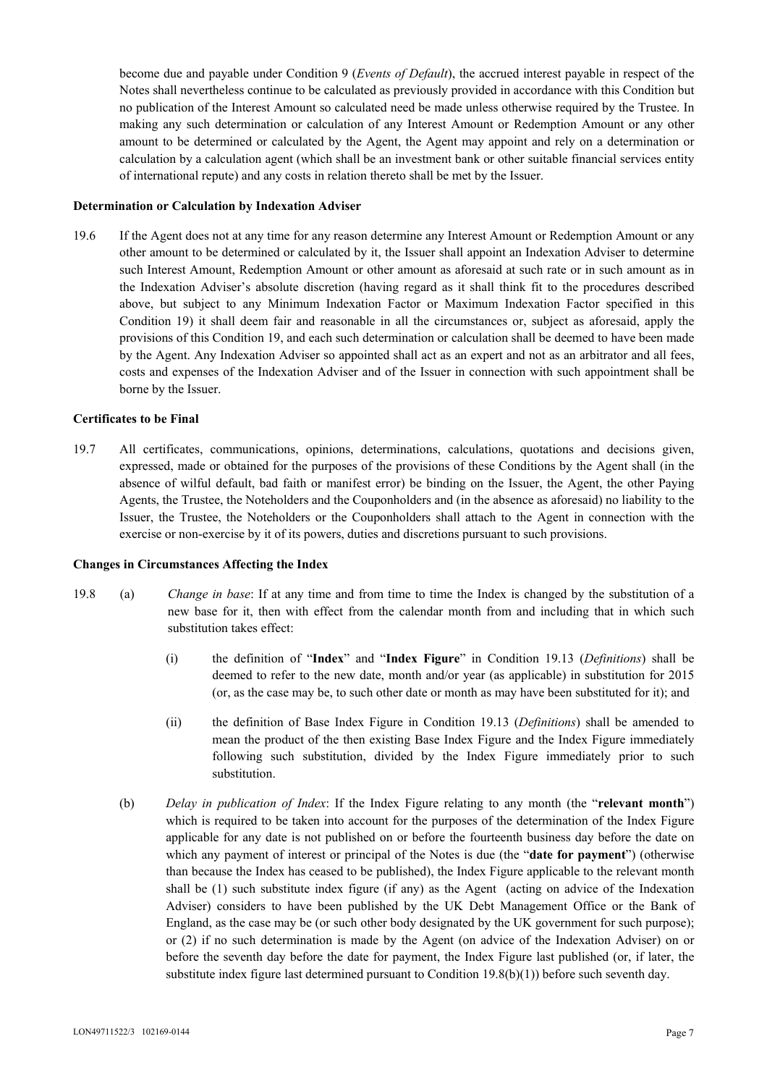become due and payable under Condition 9 (*Events of Default*), the accrued interest payable in respect of the Notes shall nevertheless continue to be calculated as previously provided in accordance with this Condition but no publication of the Interest Amount so calculated need be made unless otherwise required by the Trustee. In making any such determination or calculation of any Interest Amount or Redemption Amount or any other amount to be determined or calculated by the Agent, the Agent may appoint and rely on a determination or calculation by a calculation agent (which shall be an investment bank or other suitable financial services entity of international repute) and any costs in relation thereto shall be met by the Issuer.

#### **Determination or Calculation by Indexation Adviser**

19.6 If the Agent does not at any time for any reason determine any Interest Amount or Redemption Amount or any other amount to be determined or calculated by it, the Issuer shall appoint an Indexation Adviser to determine such Interest Amount, Redemption Amount or other amount as aforesaid at such rate or in such amount as in the Indexation Adviser's absolute discretion (having regard as it shall think fit to the procedures described above, but subject to any Minimum Indexation Factor or Maximum Indexation Factor specified in this Condition 19) it shall deem fair and reasonable in all the circumstances or, subject as aforesaid, apply the provisions of this Condition 19, and each such determination or calculation shall be deemed to have been made by the Agent. Any Indexation Adviser so appointed shall act as an expert and not as an arbitrator and all fees, costs and expenses of the Indexation Adviser and of the Issuer in connection with such appointment shall be borne by the Issuer.

#### **Certificates to be Final**

19.7 All certificates, communications, opinions, determinations, calculations, quotations and decisions given, expressed, made or obtained for the purposes of the provisions of these Conditions by the Agent shall (in the absence of wilful default, bad faith or manifest error) be binding on the Issuer, the Agent, the other Paying Agents, the Trustee, the Noteholders and the Couponholders and (in the absence as aforesaid) no liability to the Issuer, the Trustee, the Noteholders or the Couponholders shall attach to the Agent in connection with the exercise or non-exercise by it of its powers, duties and discretions pursuant to such provisions.

#### **Changes in Circumstances Affecting the Index**

- 19.8 (a) *Change in base*: If at any time and from time to time the Index is changed by the substitution of a new base for it, then with effect from the calendar month from and including that in which such substitution takes effect:
	- (i) the definition of "**Index**" and "**Index Figure**" in Condition 19.13 (*Definitions*) shall be deemed to refer to the new date, month and/or year (as applicable) in substitution for 2015 (or, as the case may be, to such other date or month as may have been substituted for it); and
	- (ii) the definition of Base Index Figure in Condition 19.13 (*Definitions*) shall be amended to mean the product of the then existing Base Index Figure and the Index Figure immediately following such substitution, divided by the Index Figure immediately prior to such substitution.
	- (b) *Delay in publication of Index*: If the Index Figure relating to any month (the "**relevant month**") which is required to be taken into account for the purposes of the determination of the Index Figure applicable for any date is not published on or before the fourteenth business day before the date on which any payment of interest or principal of the Notes is due (the "**date for payment**") (otherwise than because the Index has ceased to be published), the Index Figure applicable to the relevant month shall be (1) such substitute index figure (if any) as the Agent (acting on advice of the Indexation Adviser) considers to have been published by the UK Debt Management Office or the Bank of England, as the case may be (or such other body designated by the UK government for such purpose); or (2) if no such determination is made by the Agent (on advice of the Indexation Adviser) on or before the seventh day before the date for payment, the Index Figure last published (or, if later, the substitute index figure last determined pursuant to Condition  $19.8(b)(1)$ ) before such seventh day.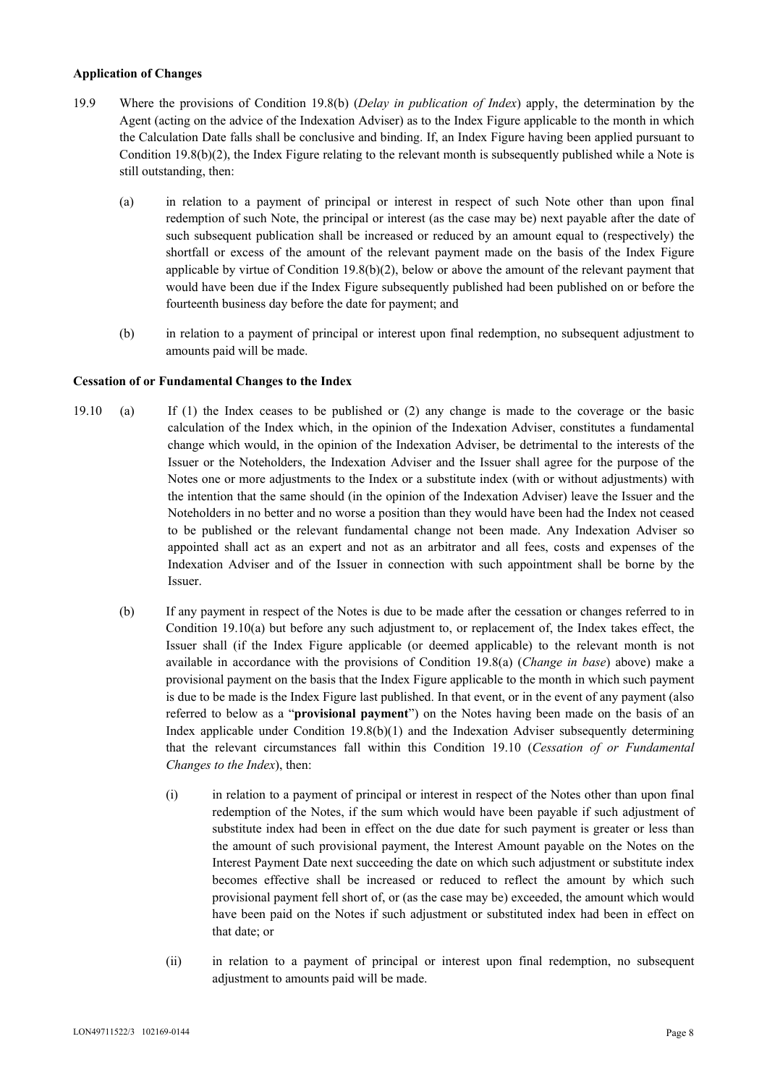## **Application of Changes**

- 19.9 Where the provisions of Condition 19.8(b) (*Delay in publication of Index*) apply, the determination by the Agent (acting on the advice of the Indexation Adviser) as to the Index Figure applicable to the month in which the Calculation Date falls shall be conclusive and binding. If, an Index Figure having been applied pursuant to Condition 19.8(b)(2), the Index Figure relating to the relevant month is subsequently published while a Note is still outstanding, then:
	- (a) in relation to a payment of principal or interest in respect of such Note other than upon final redemption of such Note, the principal or interest (as the case may be) next payable after the date of such subsequent publication shall be increased or reduced by an amount equal to (respectively) the shortfall or excess of the amount of the relevant payment made on the basis of the Index Figure applicable by virtue of Condition  $19.8(b)(2)$ , below or above the amount of the relevant payment that would have been due if the Index Figure subsequently published had been published on or before the fourteenth business day before the date for payment; and
	- (b) in relation to a payment of principal or interest upon final redemption, no subsequent adjustment to amounts paid will be made.

### **Cessation of or Fundamental Changes to the Index**

- 19.10 (a) If (1) the Index ceases to be published or (2) any change is made to the coverage or the basic calculation of the Index which, in the opinion of the Indexation Adviser, constitutes a fundamental change which would, in the opinion of the Indexation Adviser, be detrimental to the interests of the Issuer or the Noteholders, the Indexation Adviser and the Issuer shall agree for the purpose of the Notes one or more adjustments to the Index or a substitute index (with or without adjustments) with the intention that the same should (in the opinion of the Indexation Adviser) leave the Issuer and the Noteholders in no better and no worse a position than they would have been had the Index not ceased to be published or the relevant fundamental change not been made. Any Indexation Adviser so appointed shall act as an expert and not as an arbitrator and all fees, costs and expenses of the Indexation Adviser and of the Issuer in connection with such appointment shall be borne by the Issuer.
	- (b) If any payment in respect of the Notes is due to be made after the cessation or changes referred to in Condition 19.10(a) but before any such adjustment to, or replacement of, the Index takes effect, the Issuer shall (if the Index Figure applicable (or deemed applicable) to the relevant month is not available in accordance with the provisions of Condition 19.8(a) (*Change in base*) above) make a provisional payment on the basis that the Index Figure applicable to the month in which such payment is due to be made is the Index Figure last published. In that event, or in the event of any payment (also referred to below as a "**provisional payment**") on the Notes having been made on the basis of an Index applicable under Condition 19.8(b)(1) and the Indexation Adviser subsequently determining that the relevant circumstances fall within this Condition 19.10 (*Cessation of or Fundamental Changes to the Index*), then:
		- (i) in relation to a payment of principal or interest in respect of the Notes other than upon final redemption of the Notes, if the sum which would have been payable if such adjustment of substitute index had been in effect on the due date for such payment is greater or less than the amount of such provisional payment, the Interest Amount payable on the Notes on the Interest Payment Date next succeeding the date on which such adjustment or substitute index becomes effective shall be increased or reduced to reflect the amount by which such provisional payment fell short of, or (as the case may be) exceeded, the amount which would have been paid on the Notes if such adjustment or substituted index had been in effect on that date; or
		- (ii) in relation to a payment of principal or interest upon final redemption, no subsequent adjustment to amounts paid will be made.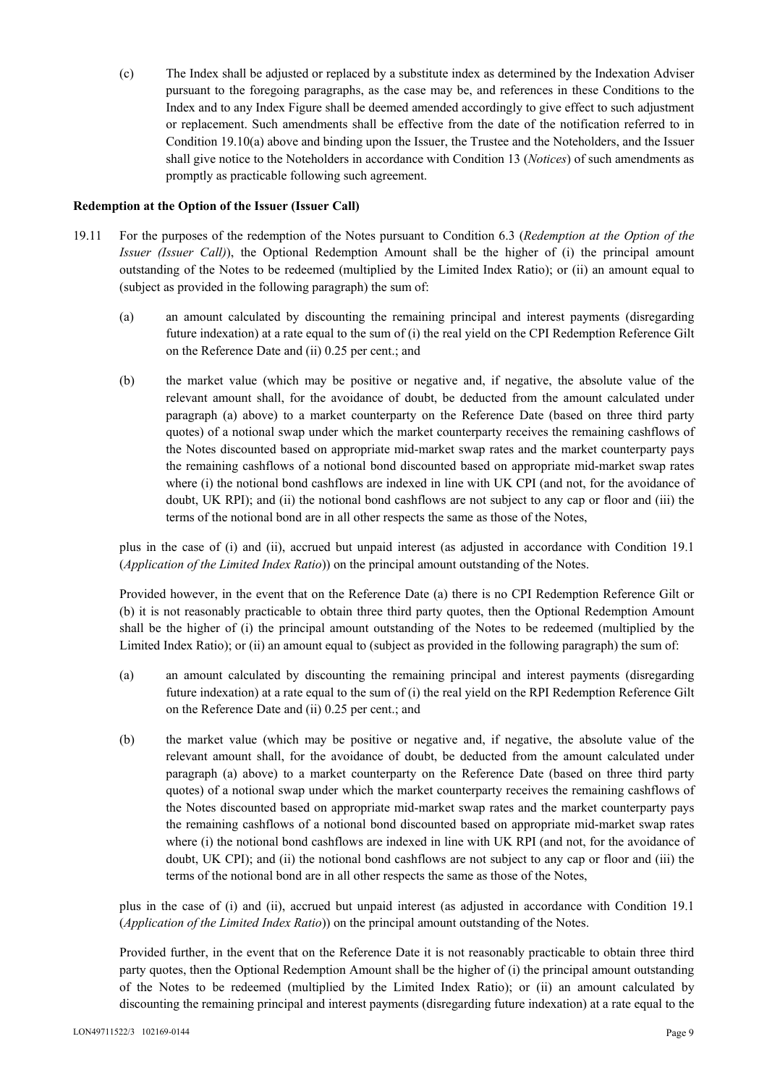(c) The Index shall be adjusted or replaced by a substitute index as determined by the Indexation Adviser pursuant to the foregoing paragraphs, as the case may be, and references in these Conditions to the Index and to any Index Figure shall be deemed amended accordingly to give effect to such adjustment or replacement. Such amendments shall be effective from the date of the notification referred to in Condition 19.10(a) above and binding upon the Issuer, the Trustee and the Noteholders, and the Issuer shall give notice to the Noteholders in accordance with Condition 13 (*Notices*) of such amendments as promptly as practicable following such agreement.

### **Redemption at the Option of the Issuer (Issuer Call)**

- 19.11 For the purposes of the redemption of the Notes pursuant to Condition 6.3 (*Redemption at the Option of the Issuer (Issuer Call)*), the Optional Redemption Amount shall be the higher of (i) the principal amount outstanding of the Notes to be redeemed (multiplied by the Limited Index Ratio); or (ii) an amount equal to (subject as provided in the following paragraph) the sum of:
	- (a) an amount calculated by discounting the remaining principal and interest payments (disregarding future indexation) at a rate equal to the sum of (i) the real yield on the CPI Redemption Reference Gilt on the Reference Date and (ii) 0.25 per cent.; and
	- (b) the market value (which may be positive or negative and, if negative, the absolute value of the relevant amount shall, for the avoidance of doubt, be deducted from the amount calculated under paragraph (a) above) to a market counterparty on the Reference Date (based on three third party quotes) of a notional swap under which the market counterparty receives the remaining cashflows of the Notes discounted based on appropriate mid-market swap rates and the market counterparty pays the remaining cashflows of a notional bond discounted based on appropriate mid-market swap rates where (i) the notional bond cashflows are indexed in line with UK CPI (and not, for the avoidance of doubt, UK RPI); and (ii) the notional bond cashflows are not subject to any cap or floor and (iii) the terms of the notional bond are in all other respects the same as those of the Notes,

plus in the case of (i) and (ii), accrued but unpaid interest (as adjusted in accordance with Condition 19.1 (*Application of the Limited Index Ratio*)) on the principal amount outstanding of the Notes.

Provided however, in the event that on the Reference Date (a) there is no CPI Redemption Reference Gilt or (b) it is not reasonably practicable to obtain three third party quotes, then the Optional Redemption Amount shall be the higher of (i) the principal amount outstanding of the Notes to be redeemed (multiplied by the Limited Index Ratio); or (ii) an amount equal to (subject as provided in the following paragraph) the sum of:

- (a) an amount calculated by discounting the remaining principal and interest payments (disregarding future indexation) at a rate equal to the sum of (i) the real yield on the RPI Redemption Reference Gilt on the Reference Date and (ii) 0.25 per cent.; and
- (b) the market value (which may be positive or negative and, if negative, the absolute value of the relevant amount shall, for the avoidance of doubt, be deducted from the amount calculated under paragraph (a) above) to a market counterparty on the Reference Date (based on three third party quotes) of a notional swap under which the market counterparty receives the remaining cashflows of the Notes discounted based on appropriate mid-market swap rates and the market counterparty pays the remaining cashflows of a notional bond discounted based on appropriate mid-market swap rates where (i) the notional bond cashflows are indexed in line with UK RPI (and not, for the avoidance of doubt, UK CPI); and (ii) the notional bond cashflows are not subject to any cap or floor and (iii) the terms of the notional bond are in all other respects the same as those of the Notes,

plus in the case of (i) and (ii), accrued but unpaid interest (as adjusted in accordance with Condition 19.1 (*Application of the Limited Index Ratio*)) on the principal amount outstanding of the Notes.

Provided further, in the event that on the Reference Date it is not reasonably practicable to obtain three third party quotes, then the Optional Redemption Amount shall be the higher of (i) the principal amount outstanding of the Notes to be redeemed (multiplied by the Limited Index Ratio); or (ii) an amount calculated by discounting the remaining principal and interest payments (disregarding future indexation) at a rate equal to the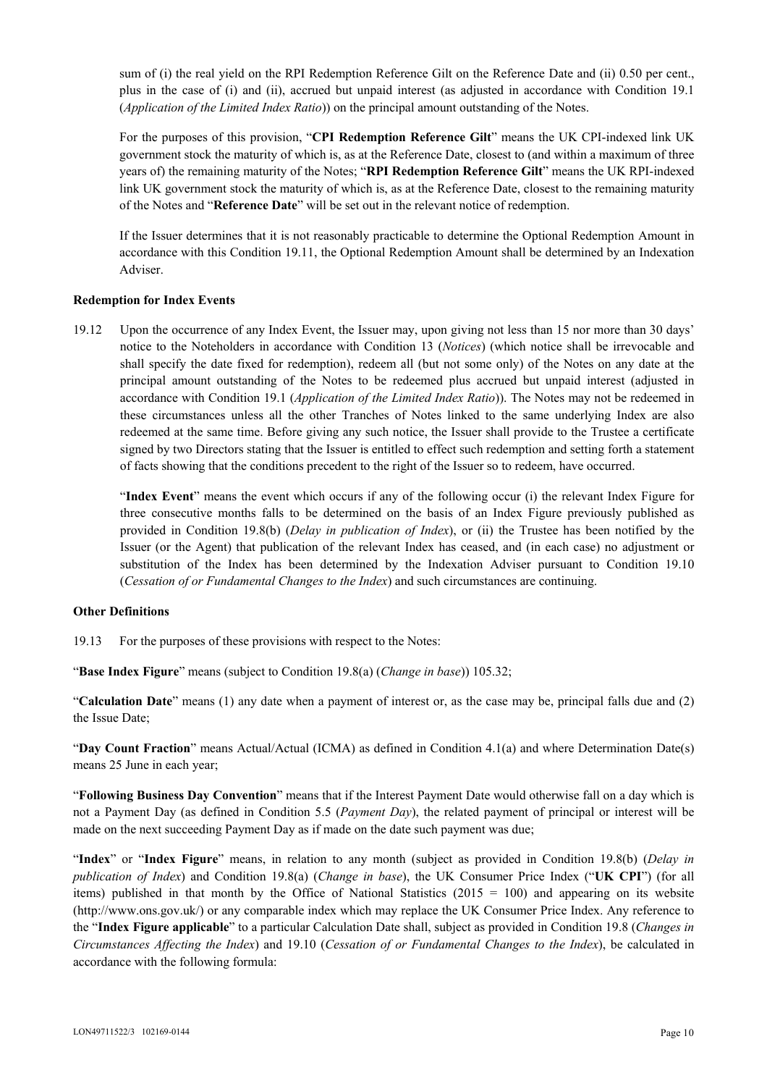sum of (i) the real yield on the RPI Redemption Reference Gilt on the Reference Date and (ii) 0.50 per cent., plus in the case of (i) and (ii), accrued but unpaid interest (as adjusted in accordance with Condition 19.1 (*Application of the Limited Index Ratio*)) on the principal amount outstanding of the Notes.

For the purposes of this provision, "**CPI Redemption Reference Gilt**" means the UK CPI-indexed link UK government stock the maturity of which is, as at the Reference Date, closest to (and within a maximum of three years of) the remaining maturity of the Notes; "**RPI Redemption Reference Gilt**" means the UK RPI-indexed link UK government stock the maturity of which is, as at the Reference Date, closest to the remaining maturity of the Notes and "**Reference Date**" will be set out in the relevant notice of redemption.

If the Issuer determines that it is not reasonably practicable to determine the Optional Redemption Amount in accordance with this Condition 19.11, the Optional Redemption Amount shall be determined by an Indexation Adviser.

### **Redemption for Index Events**

19.12 Upon the occurrence of any Index Event, the Issuer may, upon giving not less than 15 nor more than 30 days' notice to the Noteholders in accordance with Condition 13 (*Notices*) (which notice shall be irrevocable and shall specify the date fixed for redemption), redeem all (but not some only) of the Notes on any date at the principal amount outstanding of the Notes to be redeemed plus accrued but unpaid interest (adjusted in accordance with Condition 19.1 (*Application of the Limited Index Ratio*)). The Notes may not be redeemed in these circumstances unless all the other Tranches of Notes linked to the same underlying Index are also redeemed at the same time. Before giving any such notice, the Issuer shall provide to the Trustee a certificate signed by two Directors stating that the Issuer is entitled to effect such redemption and setting forth a statement of facts showing that the conditions precedent to the right of the Issuer so to redeem, have occurred.

 "**Index Event**" means the event which occurs if any of the following occur (i) the relevant Index Figure for three consecutive months falls to be determined on the basis of an Index Figure previously published as provided in Condition 19.8(b) (*Delay in publication of Index*), or (ii) the Trustee has been notified by the Issuer (or the Agent) that publication of the relevant Index has ceased, and (in each case) no adjustment or substitution of the Index has been determined by the Indexation Adviser pursuant to Condition 19.10 (*Cessation of or Fundamental Changes to the Index*) and such circumstances are continuing.

### **Other Definitions**

19.13 For the purposes of these provisions with respect to the Notes:

"**Base Index Figure**" means (subject to Condition 19.8(a) (*Change in base*)) 105.32;

"**Calculation Date**" means (1) any date when a payment of interest or, as the case may be, principal falls due and (2) the Issue Date;

"**Day Count Fraction**" means Actual/Actual (ICMA) as defined in Condition 4.1(a) and where Determination Date(s) means 25 June in each year;

"**Following Business Day Convention**" means that if the Interest Payment Date would otherwise fall on a day which is not a Payment Day (as defined in Condition 5.5 (*Payment Day*), the related payment of principal or interest will be made on the next succeeding Payment Day as if made on the date such payment was due;

"**Index**" or "**Index Figure**" means, in relation to any month (subject as provided in Condition 19.8(b) (*Delay in publication of Index*) and Condition 19.8(a) (*Change in base*), the UK Consumer Price Index ("**UK CPI**") (for all items) published in that month by the Office of National Statistics  $(2015 = 100)$  and appearing on its website (http://www.ons.gov.uk/) or any comparable index which may replace the UK Consumer Price Index. Any reference to the "**Index Figure applicable**" to a particular Calculation Date shall, subject as provided in Condition 19.8 (*Changes in Circumstances Affecting the Index*) and 19.10 (*Cessation of or Fundamental Changes to the Index*), be calculated in accordance with the following formula: